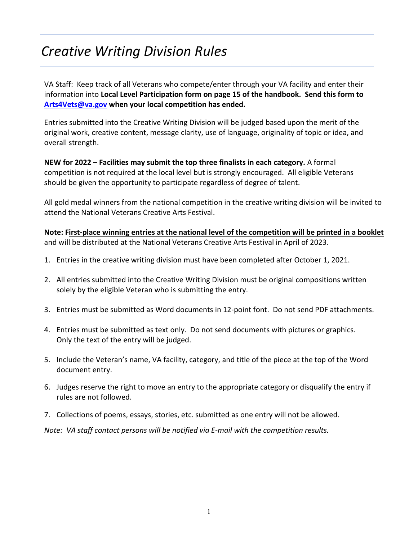# *Creative Writing Division Rules*

VA Staff: Keep track of all Veterans who compete/enter through your VA facility and enter their information into **Local Level Participation form on page 15 of the handbook. Send this form to [Arts4Vets@va.gov](mailto:Arts4Vets@va.gov) when your local competition has ended.**

Entries submitted into the Creative Writing Division will be judged based upon the merit of the original work, creative content, message clarity, use of language, originality of topic or idea, and overall strength.

**NEW for 2022 – Facilities may submit the top three finalists in each category.** A formal competition is not required at the local level but is strongly encouraged. All eligible Veterans should be given the opportunity to participate regardless of degree of talent.

All gold medal winners from the national competition in the creative writing division will be invited to attend the National Veterans Creative Arts Festival.

**Note: First-place winning entries at the national level of the competition will be printed in a booklet** and will be distributed at the National Veterans Creative Arts Festival in April of 2023.

- 1. Entries in the creative writing division must have been completed after October 1, 2021.
- 2. All entries submitted into the Creative Writing Division must be original compositions written solely by the eligible Veteran who is submitting the entry.
- 3. Entries must be submitted as Word documents in 12-point font. Do not send PDF attachments.
- 4. Entries must be submitted as text only. Do not send documents with pictures or graphics. Only the text of the entry will be judged.
- 5. Include the Veteran's name, VA facility, category, and title of the piece at the top of the Word document entry.
- 6. Judges reserve the right to move an entry to the appropriate category or disqualify the entry if rules are not followed.
- 7. Collections of poems, essays, stories, etc. submitted as one entry will not be allowed.

*Note: VA staff contact persons will be notified via E-mail with the competition results.*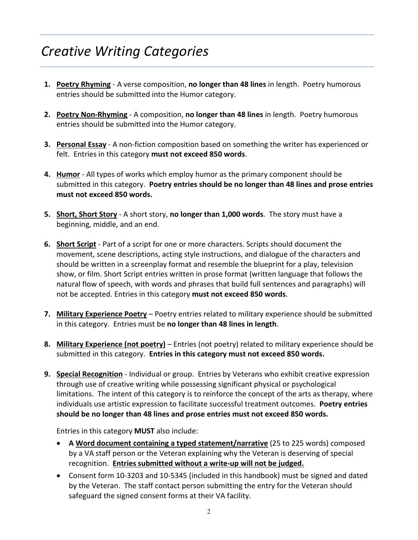# *Creative Writing Categories*

- **1. Poetry Rhyming** A verse composition, **no longer than 48 lines** in length. Poetry humorous entries should be submitted into the Humor category.
- **2. Poetry Non-Rhyming** A composition, **no longer than 48 lines** in length. Poetry humorous entries should be submitted into the Humor category.
- **3. Personal Essay** A non-fiction composition based on something the writer has experienced or felt. Entries in this category **must not exceed 850 words**.
- **4. Humor** All types of works which employ humor as the primary component should be submitted in this category. **Poetry entries should be no longer than 48 lines and prose entries must not exceed 850 words.**
- **5. Short, Short Story** A short story, **no longer than 1,000 words**. The story must have a beginning, middle, and an end.
- **6. Short Script** Part of a script for one or more characters. Scripts should document the movement, scene descriptions, acting style instructions, and dialogue of the characters and should be written in a screenplay format and resemble the blueprint for a play, television show, or film. Short Script entries written in prose format (written language that follows the natural flow of speech, with words and phrases that build full sentences and paragraphs) will not be accepted. Entries in this category **must not exceed 850 words**.
- **7. Military Experience Poetry** Poetry entries related to military experience should be submitted in this category. Entries must be **no longer than 48 lines in length**.
- **8. Military Experience (not poetry)** Entries (not poetry) related to military experience should be submitted in this category. **Entries in this category must not exceed 850 words.**
- **9. Special Recognition** Individual or group. Entries by Veterans who exhibit creative expression through use of creative writing while possessing significant physical or psychological limitations. The intent of this category is to reinforce the concept of the arts as therapy, where individuals use artistic expression to facilitate successful treatment outcomes. **Poetry entries should be no longer than 48 lines and prose entries must not exceed 850 words.**

Entries in this category **MUST** also include:

- **A Word document containing a typed statement/narrative** (25 to 225 words) composed by a VA staff person or the Veteran explaining why the Veteran is deserving of special recognition. **Entries submitted without a write-up will not be judged.**
- Consent form 10-3203 and 10-5345 (included in this handbook) must be signed and dated by the Veteran. The staff contact person submitting the entry for the Veteran should safeguard the signed consent forms at their VA facility.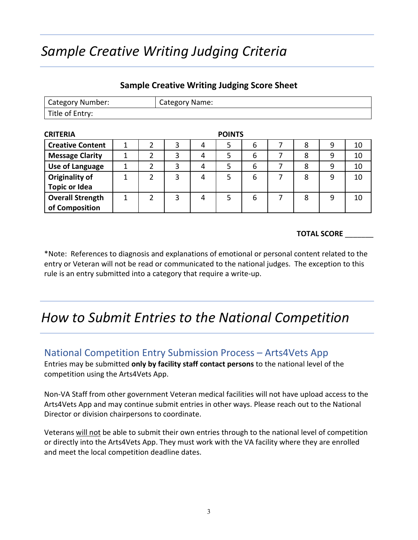# *Sample Creative Writing Judging Criteria*

Category Number: **Category Name:** 

Title of Entry:

| <b>CRITERIA</b>         |   |   |   |   | <b>POINTS</b> |   |   |   |    |
|-------------------------|---|---|---|---|---------------|---|---|---|----|
| <b>Creative Content</b> |   |   | 3 | 4 | 5             | 6 | 8 | 9 | 10 |
| <b>Message Clarity</b>  |   |   | 3 | 4 | 5             | 6 | 8 | 9 | 10 |
| <b>Use of Language</b>  | 1 | າ | 3 | 4 | 5             | 6 | 8 | 9 | 10 |
| <b>Originality of</b>   |   | 2 | 3 | 4 | 5             | 6 | 8 | 9 | 10 |
| <b>Topic or Idea</b>    |   |   |   |   |               |   |   |   |    |
| <b>Overall Strength</b> |   |   | 3 | 4 | 5             | 6 | 8 | 9 | 10 |
| of Composition          |   |   |   |   |               |   |   |   |    |

### **Sample Creative Writing Judging Score Sheet**

#### **TOTAL SCORE** \_\_\_\_\_\_\_

\*Note: References to diagnosis and explanations of emotional or personal content related to the entry or Veteran will not be read or communicated to the national judges. The exception to this rule is an entry submitted into a category that require a write-up.

## *How to Submit Entries to the National Competition*

### National Competition Entry Submission Process – Arts4Vets App

Entries may be submitted **only by facility staff contact persons** to the national level of the competition using the Arts4Vets App.

Non-VA Staff from other government Veteran medical facilities will not have upload access to the Arts4Vets App and may continue submit entries in other ways. Please reach out to the National Director or division chairpersons to coordinate.

Veterans will not be able to submit their own entries through to the national level of competition or directly into the Arts4Vets App. They must work with the VA facility where they are enrolled and meet the local competition deadline dates.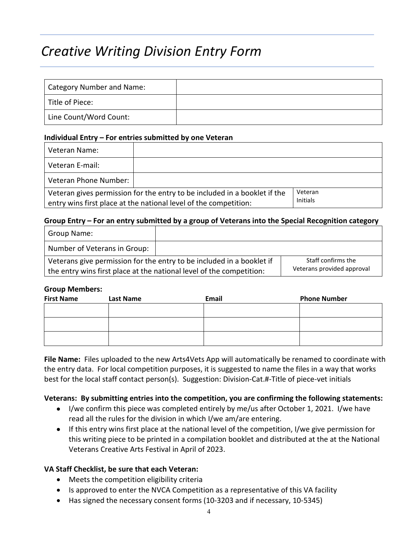## *Creative Writing Division Entry Form*

| Category Number and Name: |  |
|---------------------------|--|
| Title of Piece:           |  |
| Line Count/Word Count:    |  |

#### **Individual Entry – For entries submitted by one Veteran**

| Veteran Name:         |                                                                                                                                               |                     |
|-----------------------|-----------------------------------------------------------------------------------------------------------------------------------------------|---------------------|
| Veteran E-mail:       |                                                                                                                                               |                     |
| Veteran Phone Number: |                                                                                                                                               |                     |
|                       | Veteran gives permission for the entry to be included in a booklet if the<br>entry wins first place at the national level of the competition: | Veteran<br>Initials |

#### **Group Entry – For an entry submitted by a group of Veterans into the Special Recognition category**

| Group Name:                                                           |                            |  |
|-----------------------------------------------------------------------|----------------------------|--|
| Number of Veterans in Group:                                          |                            |  |
| Veterans give permission for the entry to be included in a booklet if | Staff confirms the         |  |
| the entry wins first place at the national level of the competition:  | Veterans provided approval |  |

#### **Group Members:**

| <b>First Name</b> | <b>Last Name</b> | Email | <b>Phone Number</b> |
|-------------------|------------------|-------|---------------------|
|                   |                  |       |                     |
|                   |                  |       |                     |
|                   |                  |       |                     |
|                   |                  |       |                     |

**File Name:** Files uploaded to the new Arts4Vets App will automatically be renamed to coordinate with the entry data. For local competition purposes, it is suggested to name the files in a way that works best for the local staff contact person(s). Suggestion: Division-Cat.#-Title of piece-vet initials

#### **Veterans: By submitting entries into the competition, you are confirming the following statements:**

- I/we confirm this piece was completed entirely by me/us after October 1, 2021. I/we have read all the rules for the division in which I/we am/are entering.
- If this entry wins first place at the national level of the competition, I/we give permission for this writing piece to be printed in a compilation booklet and distributed at the at the National Veterans Creative Arts Festival in April of 2023.

#### **VA Staff Checklist, be sure that each Veteran:**

- Meets the competition eligibility criteria
- Is approved to enter the NVCA Competition as a representative of this VA facility
- Has signed the necessary consent forms (10-3203 and if necessary, 10-5345)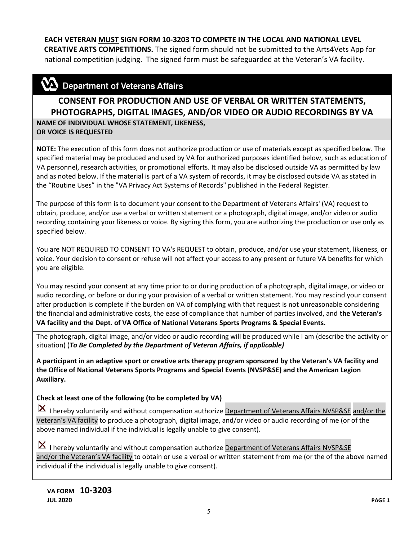### **EACH VETERAN MUST SIGN FORM 10-3203 TO COMPETE IN THE LOCAL AND NATIONAL LEVEL**

**CREATIVE ARTS COMPETITIONS.** The signed form should not be submitted to the Arts4Vets App for national competition judging. The signed form must be safeguarded at the Veteran's VA facility.

### $\mathbf{\mathbf{\Sigma}}$  Department of Veterans Affairs

### **CONSENT FOR PRODUCTION AND USE OF VERBAL OR WRITTEN STATEMENTS, PHOTOGRAPHS, DIGITAL IMAGES, AND/OR VIDEO OR AUDIO RECORDINGS BY VA**

**NAME OF INDIVIDUAL WHOSE STATEMENT, LIKENESS, OR VOICE IS REQUESTED**

**NOTE:** The execution of this form does not authorize production or use of materials except as specified below. The specified material may be produced and used by VA for authorized purposes identified below, such as education of VA personnel, research activities, or promotional efforts. It may also be disclosed outside VA as permitted by law and as noted below. If the material is part of a VA system of records, it may be disclosed outside VA as stated in the "Routine Uses" in the "VA Privacy Act Systems of Records" published in the Federal Register.

The purpose of this form is to document your consent to the Department of Veterans Affairs' (VA) request to obtain, produce, and/or use a verbal or written statement or a photograph, digital image, and/or video or audio recording containing your likeness or voice. By signing this form, you are authorizing the production or use only as specified below.

You are NOT REQUIRED TO CONSENT TO VA's REQUEST to obtain, produce, and/or use your statement, likeness, or voice. Your decision to consent or refuse will not affect your access to any present or future VA benefits for which you are eligible.

You may rescind your consent at any time prior to or during production of a photograph, digital image, or video or audio recording, or before or during your provision of a verbal or written statement. You may rescind your consent after production is complete if the burden on VA of complying with that request is not unreasonable considering the financial and administrative costs, the ease of compliance that number of parties involved, and **the Veteran's VA facility and the Dept. of VA Office of National Veterans Sports Programs & Special Events.**

The photograph, digital image, and/or video or audio recording will be produced while I am (describe the activity or situation) (*To Be Completed by the Department of Veteran Affairs, if applicable)* 

**A participant in an adaptive sport or creative arts therapy program sponsored by the Veteran's VA facility and the Office of National Veterans Sports Programs and Special Events (NVSP&SE) and the American Legion Auxiliary.**

#### **Check at least one of the following (to be completed by VA)**

I hereby voluntarily and without compensation authorize Department of Veterans Affairs NVSP&SE and/or the Veteran's VA facility to produce a photograph, digital image, and/or video or audio recording of me (or of the above named individual if the individual is legally unable to give consent).

 $\vert X \vert$  I hereby voluntarily and without compensation authorize Department of Veterans Affairs NVSP&SE and/or the Veteran's VA facility to obtain or use a verbal or written statement from me (or the of the above named individual if the individual is legally unable to give consent).